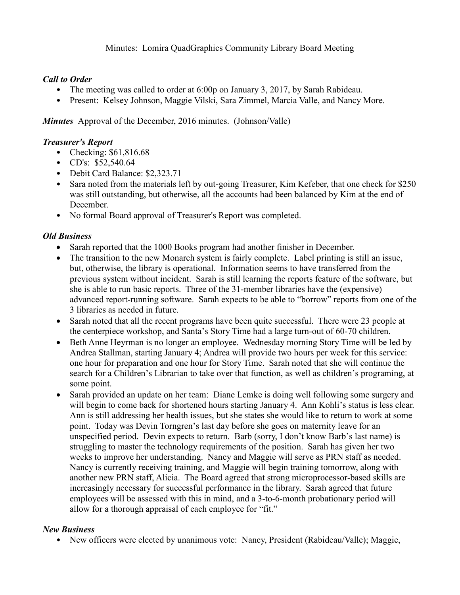Minutes: Lomira QuadGraphics Community Library Board Meeting

## *Call to Order*

- The meeting was called to order at 6:00p on January 3, 2017, by Sarah Rabideau.
- Present: Kelsey Johnson, Maggie Vilski, Sara Zimmel, Marcia Valle, and Nancy More.

*Minutes* Approval of the December, 2016 minutes. (Johnson/Valle)

#### *Treasurer's Report*

- Checking: \$61,816.68
- CD's: \$52,540.64
- Debit Card Balance: \$2,323.71
- Sara noted from the materials left by out-going Treasurer, Kim Kefeber, that one check for \$250 was still outstanding, but otherwise, all the accounts had been balanced by Kim at the end of December.
- No formal Board approval of Treasurer's Report was completed.

### *Old Business*

- Sarah reported that the 1000 Books program had another finisher in December.
- The transition to the new Monarch system is fairly complete. Label printing is still an issue, but, otherwise, the library is operational. Information seems to have transferred from the previous system without incident. Sarah is still learning the reports feature of the software, but she is able to run basic reports. Three of the 31-member libraries have the (expensive) advanced report-running software. Sarah expects to be able to "borrow" reports from one of the 3 libraries as needed in future.
- Sarah noted that all the recent programs have been quite successful. There were 23 people at the centerpiece workshop, and Santa's Story Time had a large turn-out of 60-70 children.
- Beth Anne Heyrman is no longer an employee. Wednesday morning Story Time will be led by Andrea Stallman, starting January 4; Andrea will provide two hours per week for this service: one hour for preparation and one hour for Story Time. Sarah noted that she will continue the search for a Children's Librarian to take over that function, as well as children's programing, at some point.
- Sarah provided an update on her team: Diane Lemke is doing well following some surgery and will begin to come back for shortened hours starting January 4. Ann Kohli's status is less clear. Ann is still addressing her health issues, but she states she would like to return to work at some point. Today was Devin Torngren's last day before she goes on maternity leave for an unspecified period. Devin expects to return. Barb (sorry, I don't know Barb's last name) is struggling to master the technology requirements of the position. Sarah has given her two weeks to improve her understanding. Nancy and Maggie will serve as PRN staff as needed. Nancy is currently receiving training, and Maggie will begin training tomorrow, along with another new PRN staff, Alicia. The Board agreed that strong microprocessor-based skills are increasingly necessary for successful performance in the library. Sarah agreed that future employees will be assessed with this in mind, and a 3-to-6-month probationary period will allow for a thorough appraisal of each employee for "fit."

# *New Business*

• New officers were elected by unanimous vote: Nancy, President (Rabideau/Valle); Maggie,